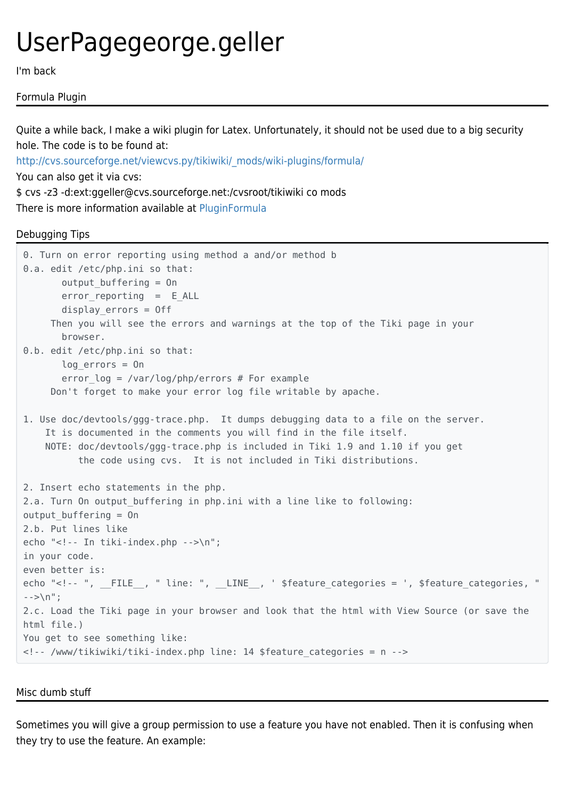# UserPagegeorge.geller

I'm back

# Formula Plugin

Quite a while back, I make a wiki plugin for Latex. Unfortunately, it should not be used due to a big security hole. The code is to be found at:

[http://cvs.sourceforge.net/viewcvs.py/tikiwiki/\\_mods/wiki-plugins/formula/](http://cvs.sourceforge.net/viewcvs.py/tikiwiki/_mods/wiki-plugins/formula/) You can also get it via cvs: \$ cvs -z3 -d:ext:ggeller@cvs.sourceforge.net:/cvsroot/tikiwiki co mods

There is more information available at [PluginFormula](https://tiki.org/PluginFormula)

# Debugging Tips

```
0. Turn on error reporting using method a and/or method b
0.a. edit /etc/php.ini so that:
       output buffering = On
       error reporting = E ALL
        display_errors = Off
      Then you will see the errors and warnings at the top of the Tiki page in your
        browser.
0.b. edit /etc/php.ini so that:
       log_errors = On
       error log = /var/log/php/errors # For example
      Don't forget to make your error log file writable by apache.
1. Use doc/devtools/ggg-trace.php. It dumps debugging data to a file on the server.
     It is documented in the comments you will find in the file itself.
     NOTE: doc/devtools/ggg-trace.php is included in Tiki 1.9 and 1.10 if you get
           the code using cvs. It is not included in Tiki distributions.
2. Insert echo statements in the php.
2.a. Turn On output_buffering in php.ini with a line like to following:
output buffering = On
2.b. Put lines like
echo "<!-- In tiki-index.php -->\n";
in your code.
even better is:
echo "<!-- ", __FILE__, " line: ", __LINE__, ' $feature_categories = ', $feature_categories, "
- > \n";
2.c. Load the Tiki page in your browser and look that the html with View Source (or save the
html file.)
You get to see something like:
<!-- /www/tikiwiki/tiki-index.php line: 14 $feature_categories = n -->
```
Misc dumb stuff

Sometimes you will give a group permission to use a feature you have not enabled. Then it is confusing when they try to use the feature. An example: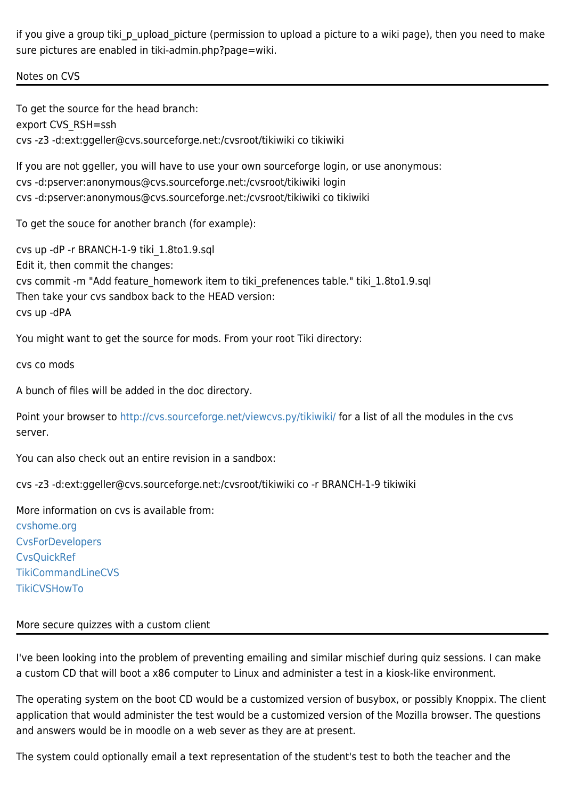if you give a group tiki\_p\_upload\_picture (permission to upload a picture to a wiki page), then you need to make sure pictures are enabled in tiki-admin.php?page=wiki.

## Notes on CVS

To get the source for the head branch: export CVS\_RSH=ssh cvs -z3 -d:ext:ggeller@cvs.sourceforge.net:/cvsroot/tikiwiki co tikiwiki

If you are not ggeller, you will have to use your own sourceforge login, or use anonymous: cvs -d:pserver:anonymous@cvs.sourceforge.net:/cvsroot/tikiwiki login cvs -d:pserver:anonymous@cvs.sourceforge.net:/cvsroot/tikiwiki co tikiwiki

To get the souce for another branch (for example):

cvs up -dP -r BRANCH-1-9 tiki\_1.8to1.9.sql Edit it, then commit the changes: cvs commit -m "Add feature\_homework item to tiki\_prefenences table." tiki\_1.8to1.9.sql Then take your cvs sandbox back to the HEAD version: cvs up -dPA

You might want to get the source for mods. From your root Tiki directory:

cvs co mods

A bunch of files will be added in the doc directory.

Point your browser to <http://cvs.sourceforge.net/viewcvs.py/tikiwiki/>for a list of all the modules in the cvs server.

You can also check out an entire revision in a sandbox:

cvs -z3 -d:ext:ggeller@cvs.sourceforge.net:/cvsroot/tikiwiki co -r BRANCH-1-9 tikiwiki

More information on cvs is available from: [cvshome.org](https://tiki.org/cvshome.org) **[CvsForDevelopers](https://tiki.org/CvsForDevelopers) [CvsQuickRef](https://tiki.org/CvsQuickRef)** [TikiCommandLineCVS](https://tiki.org/TikiCommandLineCVS) **[TikiCVSHowTo](https://tiki.org/TikiCVSHowTo)** 

## More secure quizzes with a custom client

I've been looking into the problem of preventing emailing and similar mischief during quiz sessions. I can make a custom CD that will boot a x86 computer to Linux and administer a test in a kiosk-like environment.

The operating system on the boot CD would be a customized version of busybox, or possibly Knoppix. The client application that would administer the test would be a customized version of the Mozilla browser. The questions and answers would be in moodle on a web sever as they are at present.

The system could optionally email a text representation of the student's test to both the teacher and the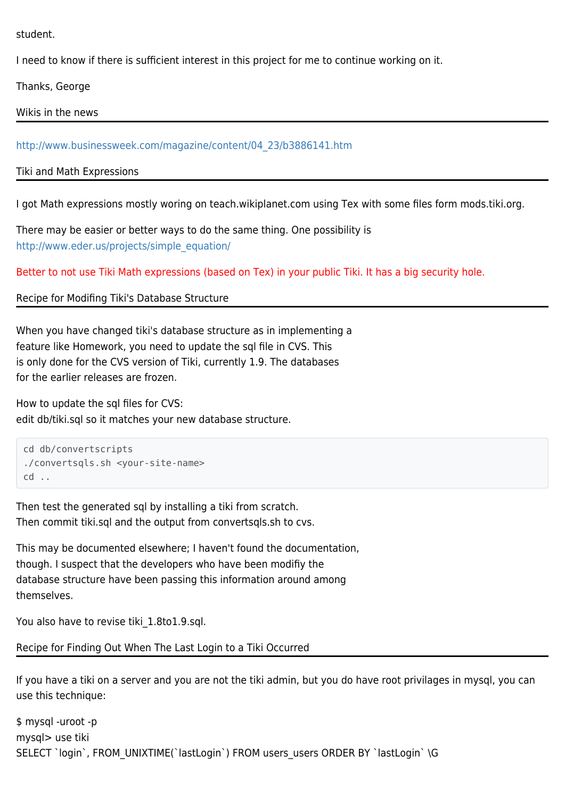student.

I need to know if there is sufficient interest in this project for me to continue working on it.

Thanks, George

Wikis in the news

[http://www.businessweek.com/magazine/content/04\\_23/b3886141.htm](http://www.businessweek.com/magazine/content/04_23/b3886141.htm)

Tiki and Math Expressions

I got Math expressions mostly woring on teach.wikiplanet.com using Tex with some files form mods.tiki.org.

There may be easier or better ways to do the same thing. One possibility is [http://www.eder.us/projects/simple\\_equation/](http://www.eder.us/projects/simple_equation/)

Better to not use Tiki Math expressions (based on Tex) in your public Tiki. It has a big security hole.

Recipe for Modifing Tiki's Database Structure

When you have changed tiki's database structure as in implementing a feature like Homework, you need to update the sql file in CVS. This is only done for the CVS version of Tiki, currently 1.9. The databases for the earlier releases are frozen.

How to update the sql files for CVS: edit db/tiki.sql so it matches your new database structure.

```
cd db/convertscripts
./convertsqls.sh <your-site-name>
cd ..
```
Then test the generated sql by installing a tiki from scratch. Then commit tiki.sql and the output from convertsqls.sh to cvs.

This may be documented elsewhere; I haven't found the documentation, though. I suspect that the developers who have been modifiy the database structure have been passing this information around among themselves.

You also have to revise tiki 1.8to1.9.sql.

Recipe for Finding Out When The Last Login to a Tiki Occurred

If you have a tiki on a server and you are not the tiki admin, but you do have root privilages in mysql, you can use this technique:

\$ mysql -uroot -p mysql> use tiki SELECT `login`, FROM\_UNIXTIME(`lastLogin`) FROM users\_users ORDER BY `lastLogin` \G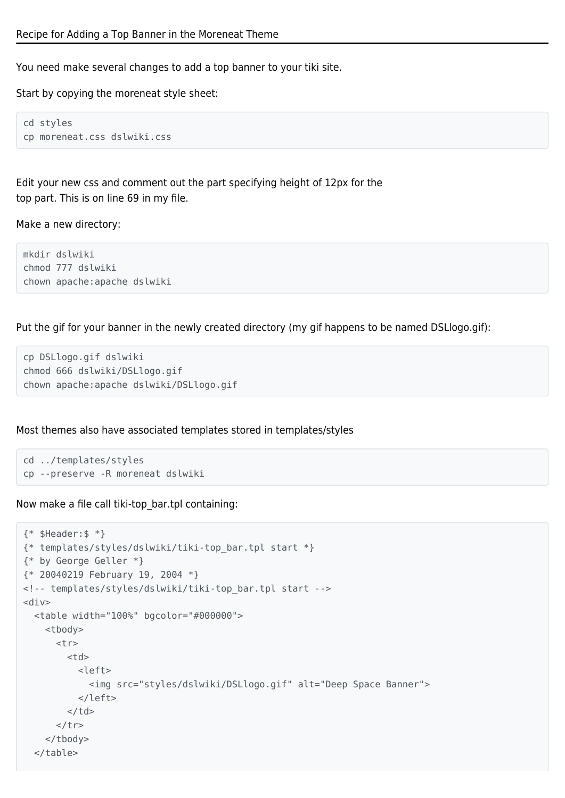You need make several changes to add a top banner to your tiki site.

Start by copying the moreneat style sheet:

cd styles cp moreneat.css dslwiki.css

Edit your new css and comment out the part specifying height of 12px for the top part. This is on line 69 in my file.

Make a new directory:

mkdir dslwiki chmod 777 dslwiki chown apache:apache dslwiki

Put the gif for your banner in the newly created directory (my gif happens to be named DSLlogo.gif):

```
cp DSLlogo.gif dslwiki
chmod 666 dslwiki/DSLlogo.gif
chown apache:apache dslwiki/DSLlogo.gif
```
Most themes also have associated templates stored in templates/styles

```
cd ../templates/styles
cp --preserve -R moreneat dslwiki
```
Now make a file call tiki-top\_bar.tpl containing:

```
{* $Header:$ *}
{* templates/styles/dslwiki/tiki-top_bar.tpl start *}
{* by George Geller *}
{* 20040219 February 19, 2004 *}
<!-- templates/styles/dslwiki/tiki-top_bar.tpl start -->
<div> <table width="100%" bgcolor="#000000">
     <tbody>
       <tr>
        <td>
          <left> <img src="styles/dslwiki/DSLlogo.gif" alt="Deep Space Banner">
           </left>
        \lt/td>
      \langletr>
     </tbody>
   </table>
```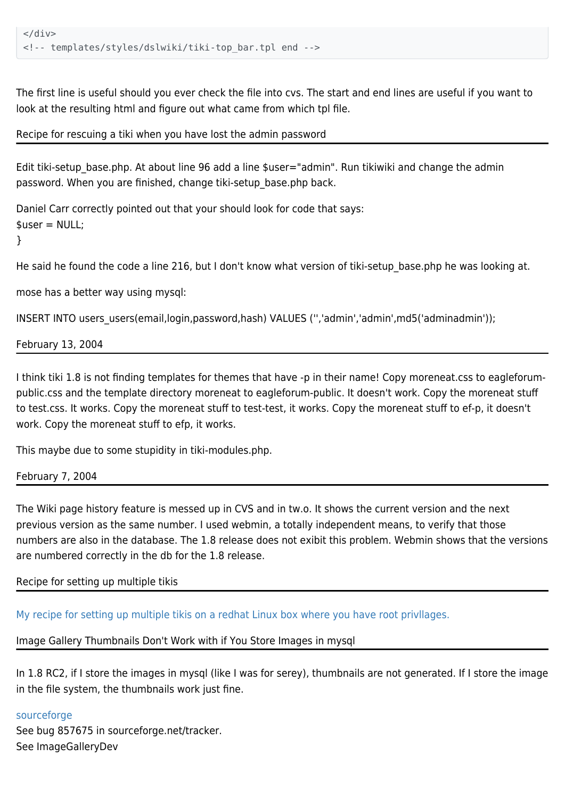The first line is useful should you ever check the file into cvs. The start and end lines are useful if you want to look at the resulting html and figure out what came from which tpl file.

Recipe for rescuing a tiki when you have lost the admin password

Edit tiki-setup\_base.php. At about line 96 add a line \$user="admin". Run tikiwiki and change the admin password. When you are finished, change tiki-setup\_base.php back.

Daniel Carr correctly pointed out that your should look for code that says:  $suser = NULL$ ;

}

He said he found the code a line 216, but I don't know what version of tiki-setup base.php he was looking at.

mose has a better way using mysql:

INSERT INTO users users(email,login,password,hash) VALUES (",'admin','admin',md5('adminadmin'));

February 13, 2004

I think tiki 1.8 is not finding templates for themes that have -p in their name! Copy moreneat.css to eagleforumpublic.css and the template directory moreneat to eagleforum-public. It doesn't work. Copy the moreneat stuff to test.css. It works. Copy the moreneat stuff to test-test, it works. Copy the moreneat stuff to ef-p, it doesn't work. Copy the moreneat stuff to efp, it works.

This maybe due to some stupidity in tiki-modules.php.

February 7, 2004

The Wiki page history feature is messed up in CVS and in tw.o. It shows the current version and the next previous version as the same number. I used webmin, a totally independent means, to verify that those numbers are also in the database. The 1.8 release does not exibit this problem. Webmin shows that the versions are numbered correctly in the db for the 1.8 release.

# Recipe for setting up multiple tikis

[My recipe for setting up multiple tikis on a redhat Linux box where you have root privllages.](https://tiki.org/RecipeMultiTiki)

## Image Gallery Thumbnails Don't Work with if You Store Images in mysql

In 1.8 RC2, if I store the images in mysql (like I was for serey), thumbnails are not generated. If I store the image in the file system, the thumbnails work just fine.

## [sourceforge](https://sourceforge.net/tracker/index.php?func=detail&aid=857675&group_id=64258&atid=506846)

See bug 857675 in sourceforge.net/tracker. See ImageGalleryDev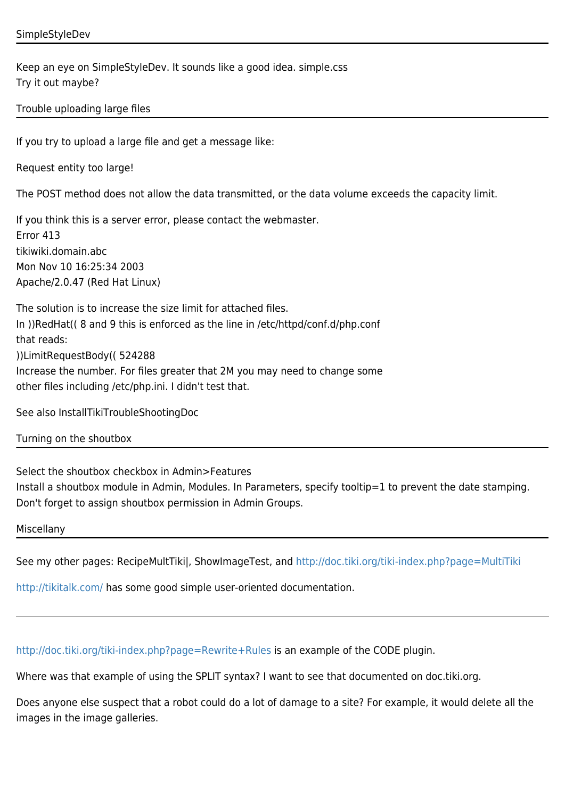## SimpleStyleDev

Keep an eye on SimpleStyleDev. It sounds like a good idea. simple.css Try it out maybe?

## Trouble uploading large files

If you try to upload a large file and get a message like:

Request entity too large!

The POST method does not allow the data transmitted, or the data volume exceeds the capacity limit.

If you think this is a server error, please contact the webmaster. Error 413 tikiwiki.domain.abc Mon Nov 10 16:25:34 2003 Apache/2.0.47 (Red Hat Linux)

The solution is to increase the size limit for attached files. In ))RedHat(( 8 and 9 this is enforced as the line in /etc/httpd/conf.d/php.conf that reads: ))LimitRequestBody(( 524288 Increase the number. For files greater that 2M you may need to change some other files including /etc/php.ini. I didn't test that.

See also InstallTikiTroubleShootingDoc

#### Turning on the shoutbox

Select the shoutbox checkbox in Admin>Features Install a shoutbox module in Admin, Modules. In Parameters, specify tooltip=1 to prevent the date stamping. Don't forget to assign shoutbox permission in Admin Groups.

Miscellany

See my other pages: RecipeMultTiki|, ShowImageTest, and <http://doc.tiki.org/tiki-index.php?page=MultiTiki>

<http://tikitalk.com/>has some good simple user-oriented documentation.

<http://doc.tiki.org/tiki-index.php?page=Rewrite+Rules>is an example of the CODE plugin.

Where was that example of using the SPLIT syntax? I want to see that documented on doc.tiki.org.

Does anyone else suspect that a robot could do a lot of damage to a site? For example, it would delete all the images in the image galleries.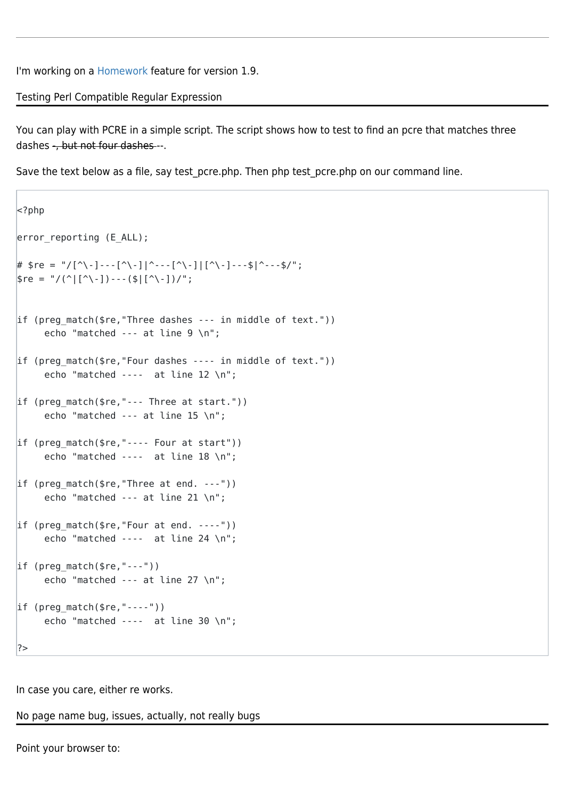I'm working on a [Homework](https://tiki.org/Homework) feature for version 1.9.

Testing Perl Compatible Regular Expression

You can play with PCRE in a simple script. The script shows how to test to find an pcre that matches three dashes -, but not four dashes --.

Save the text below as a file, say test pcre.php. Then php test pcre.php on our command line.

```
| -?php
error reporting (EALL);
# $re = "/[^\-]---[^\-]|^---[^\-]|[^\-]---$|^---$/";
\frac{1}{2}fe = "/(^|[^\-])---($|[^\-])/";
if (preg match($re,"Three dashes -- in middle of text."))
     echo "matched --- at line 9 \n";
if (preg match($re,"Four dashes -- in middle of text."))
     echo "matched --- at line 12 \n";
if (preg match(\frac{1}{2}re,"--- Three at start."))
      echo "matched --- at line 15 \n";
if (preg match($re, "--- Four at start"))
     echo "matched ---- at line 18 \n";
if (preg_match($re,"Three at end. ---"))
      echo "matched --- at line 21 \n";
if (preg match($re, "Four at end. ----"))
     echo "matched ---- at line 24 \n";
if (preg match(sre, "---"))
      echo "matched --- at line 27 \n";
if (preg match($re, "---"))
      echo "matched ---- at line 30 \n";
?>
```
In case you care, either re works.

No page name bug, issues, actually, not really bugs

Point your browser to: